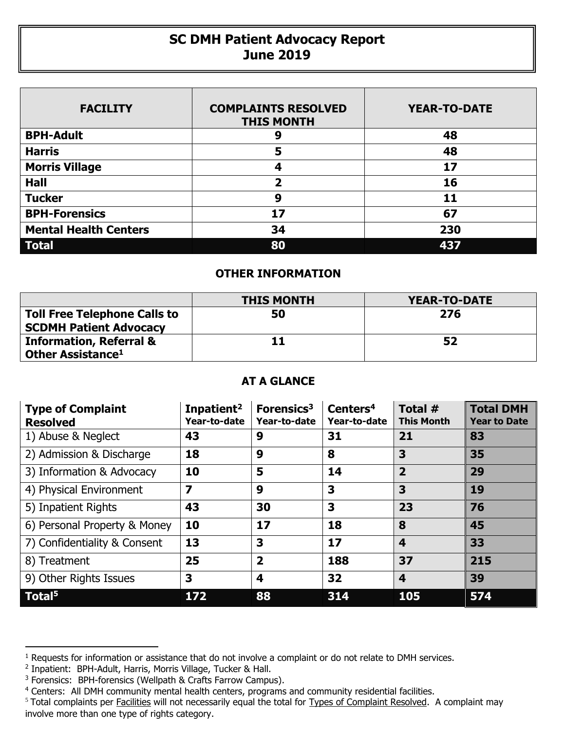## **SC DMH Patient Advocacy Report June 2019**

| <b>FACILITY</b>              | <b>COMPLAINTS RESOLVED</b><br><b>THIS MONTH</b> | <b>YEAR-TO-DATE</b> |
|------------------------------|-------------------------------------------------|---------------------|
| <b>BPH-Adult</b>             | 9                                               | 48                  |
| <b>Harris</b>                | 5                                               | 48                  |
| <b>Morris Village</b>        | 4                                               | 17                  |
| <b>Hall</b>                  | 2                                               | 16                  |
| <b>Tucker</b>                | 9                                               | 11                  |
| <b>BPH-Forensics</b>         | 17                                              | 67                  |
| <b>Mental Health Centers</b> | 34                                              | 230                 |
| <b>Total</b>                 | 80                                              | 437                 |

## **OTHER INFORMATION**

|                                                                      | <b>THIS MONTH</b> | YEAR-TO-DATE |
|----------------------------------------------------------------------|-------------------|--------------|
| <b>Toll Free Telephone Calls to</b><br><b>SCDMH Patient Advocacy</b> | 50                | 276          |
| <b>Information, Referral &amp;</b><br>Other Assistance <sup>1</sup>  |                   | 52           |

## **AT A GLANCE**

| <b>Type of Complaint</b><br><b>Resolved</b> | Inpatient <sup>2</sup><br>Year-to-date | Forensics <sup>3</sup><br>Year-to-date | Centers <sup>4</sup><br>Year-to-date | Total #<br><b>This Month</b> | <b>Total DMH</b><br><b>Year to Date</b> |
|---------------------------------------------|----------------------------------------|----------------------------------------|--------------------------------------|------------------------------|-----------------------------------------|
| 1) Abuse & Neglect                          | 43                                     | 9                                      | 31                                   | 21                           | 83                                      |
| 2) Admission & Discharge                    | 18                                     | 9                                      | 8                                    | 3                            | 35                                      |
| 3) Information & Advocacy                   | 10                                     | 5                                      | 14                                   | $\overline{2}$               | 29                                      |
| 4) Physical Environment                     | $\overline{\mathbf{z}}$                | 9                                      | 3                                    | 3                            | 19                                      |
| 5) Inpatient Rights                         | 43                                     | 30                                     | 3                                    | 23                           | 76                                      |
| 6) Personal Property & Money                | 10                                     | 17                                     | 18                                   | 8                            | 45                                      |
| 7) Confidentiality & Consent                | 13                                     | 3                                      | 17                                   | $\overline{\mathbf{4}}$      | 33                                      |
| 8) Treatment                                | 25                                     | $\overline{2}$                         | 188                                  | 37                           | 215                                     |
| 9) Other Rights Issues                      | 3                                      | 4                                      | 32                                   | $\overline{\mathbf{4}}$      | 39                                      |
| Total <sup>5</sup>                          | 172                                    | 88                                     | 314                                  | 105                          | 574                                     |

 $\overline{a}$ 

<sup>&</sup>lt;sup>1</sup> Requests for information or assistance that do not involve a complaint or do not relate to DMH services.

<sup>2</sup> Inpatient: BPH-Adult, Harris, Morris Village, Tucker & Hall.

<sup>&</sup>lt;sup>3</sup> Forensics: BPH-forensics (Wellpath & Crafts Farrow Campus).

<sup>&</sup>lt;sup>4</sup> Centers: All DMH community mental health centers, programs and community residential facilities.

<sup>&</sup>lt;sup>5</sup> Total complaints per Facilities will not necessarily equal the total for Types of Complaint Resolved. A complaint may involve more than one type of rights category.